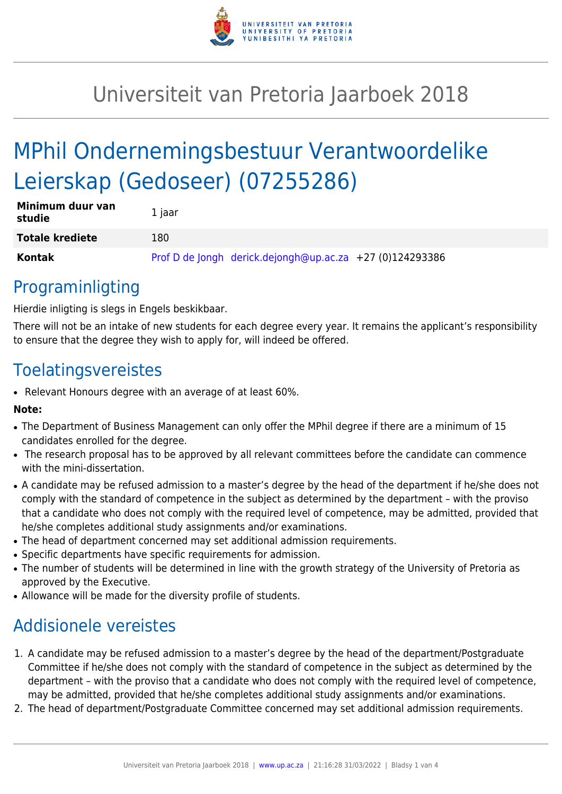

## Universiteit van Pretoria Jaarboek 2018

# MPhil Ondernemingsbestuur Verantwoordelike Leierskap (Gedoseer) (07255286)

| Minimum duur van<br>studie | 1 jaar |                                                            |  |
|----------------------------|--------|------------------------------------------------------------|--|
| <b>Totale krediete</b>     | 180    |                                                            |  |
| Kontak                     |        | Prof D de Jongh derick.dejongh@up.ac.za $+27$ (0)124293386 |  |

### Programinligting

Hierdie inligting is slegs in Engels beskikbaar.

There will not be an intake of new students for each degree every year. It remains the applicant's responsibility to ensure that the degree they wish to apply for, will indeed be offered.

### Toelatingsvereistes

• Relevant Honours degree with an average of at least 60%.

#### **Note:**

- The Department of Business Management can only offer the MPhil degree if there are a minimum of 15 candidates enrolled for the degree.
- The research proposal has to be approved by all relevant committees before the candidate can commence with the mini-dissertation.
- A candidate may be refused admission to a master's degree by the head of the department if he/she does not comply with the standard of competence in the subject as determined by the department – with the proviso that a candidate who does not comply with the required level of competence, may be admitted, provided that he/she completes additional study assignments and/or examinations.
- The head of department concerned may set additional admission requirements.
- Specific departments have specific requirements for admission.
- The number of students will be determined in line with the growth strategy of the University of Pretoria as approved by the Executive.
- Allowance will be made for the diversity profile of students.

## Addisionele vereistes

- 1. A candidate may be refused admission to a master's degree by the head of the department/Postgraduate Committee if he/she does not comply with the standard of competence in the subject as determined by the department – with the proviso that a candidate who does not comply with the required level of competence, may be admitted, provided that he/she completes additional study assignments and/or examinations.
- 2. The head of department/Postgraduate Committee concerned may set additional admission requirements.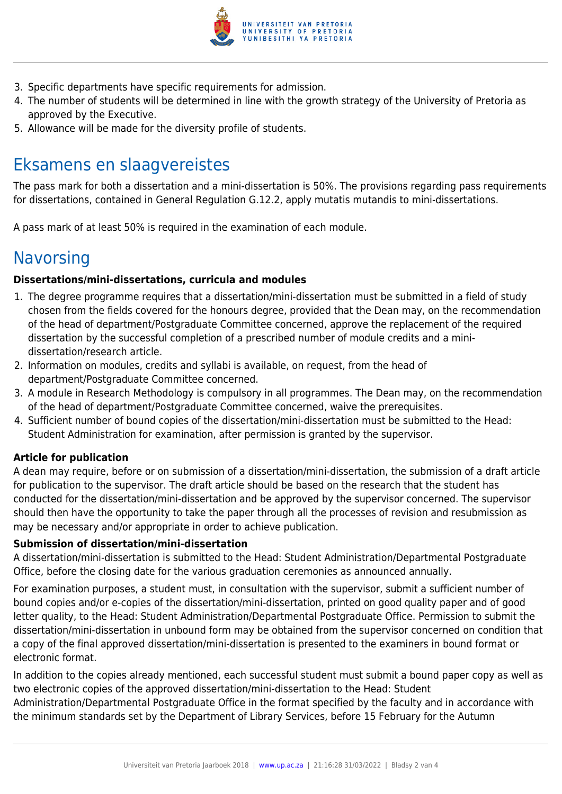

- 3. Specific departments have specific requirements for admission.
- 4. The number of students will be determined in line with the growth strategy of the University of Pretoria as approved by the Executive.
- 5. Allowance will be made for the diversity profile of students.

### Eksamens en slaagvereistes

The pass mark for both a dissertation and a mini-dissertation is 50%. The provisions regarding pass requirements for dissertations, contained in General Regulation G.12.2, apply mutatis mutandis to mini-dissertations.

A pass mark of at least 50% is required in the examination of each module.

### **Navorsing**

#### **Dissertations/mini-dissertations, curricula and modules**

- 1. The degree programme requires that a dissertation/mini-dissertation must be submitted in a field of study chosen from the fields covered for the honours degree, provided that the Dean may, on the recommendation of the head of department/Postgraduate Committee concerned, approve the replacement of the required dissertation by the successful completion of a prescribed number of module credits and a minidissertation/research article.
- 2. Information on modules, credits and syllabi is available, on request, from the head of department/Postgraduate Committee concerned.
- 3. A module in Research Methodology is compulsory in all programmes. The Dean may, on the recommendation of the head of department/Postgraduate Committee concerned, waive the prerequisites.
- 4. Sufficient number of bound copies of the dissertation/mini-dissertation must be submitted to the Head: Student Administration for examination, after permission is granted by the supervisor.

#### **Article for publication**

A dean may require, before or on submission of a dissertation/mini-dissertation, the submission of a draft article for publication to the supervisor. The draft article should be based on the research that the student has conducted for the dissertation/mini-dissertation and be approved by the supervisor concerned. The supervisor should then have the opportunity to take the paper through all the processes of revision and resubmission as may be necessary and/or appropriate in order to achieve publication.

#### **Submission of dissertation/mini-dissertation**

A dissertation/mini-dissertation is submitted to the Head: Student Administration/Departmental Postgraduate Office, before the closing date for the various graduation ceremonies as announced annually.

For examination purposes, a student must, in consultation with the supervisor, submit a sufficient number of bound copies and/or e-copies of the dissertation/mini-dissertation, printed on good quality paper and of good letter quality, to the Head: Student Administration/Departmental Postgraduate Office. Permission to submit the dissertation/mini-dissertation in unbound form may be obtained from the supervisor concerned on condition that a copy of the final approved dissertation/mini-dissertation is presented to the examiners in bound format or electronic format.

In addition to the copies already mentioned, each successful student must submit a bound paper copy as well as two electronic copies of the approved dissertation/mini-dissertation to the Head: Student

Administration/Departmental Postgraduate Office in the format specified by the faculty and in accordance with the minimum standards set by the Department of Library Services, before 15 February for the Autumn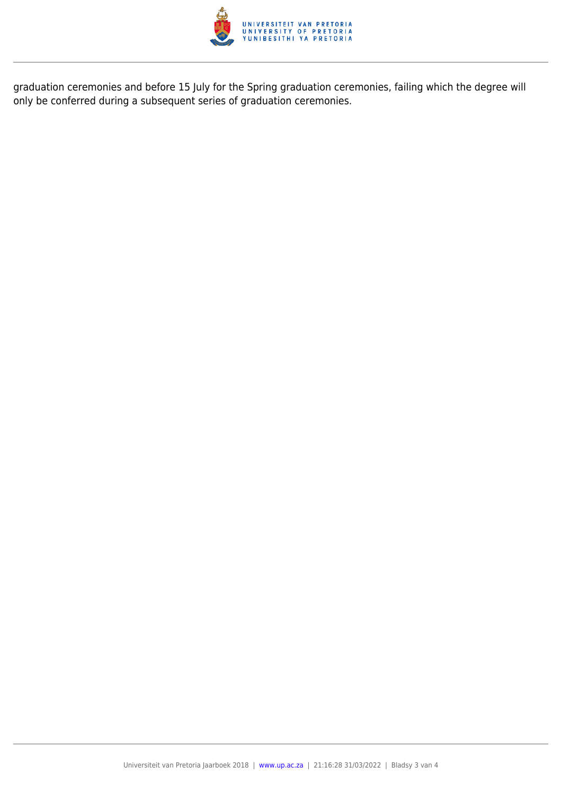

graduation ceremonies and before 15 July for the Spring graduation ceremonies, failing which the degree will only be conferred during a subsequent series of graduation ceremonies.